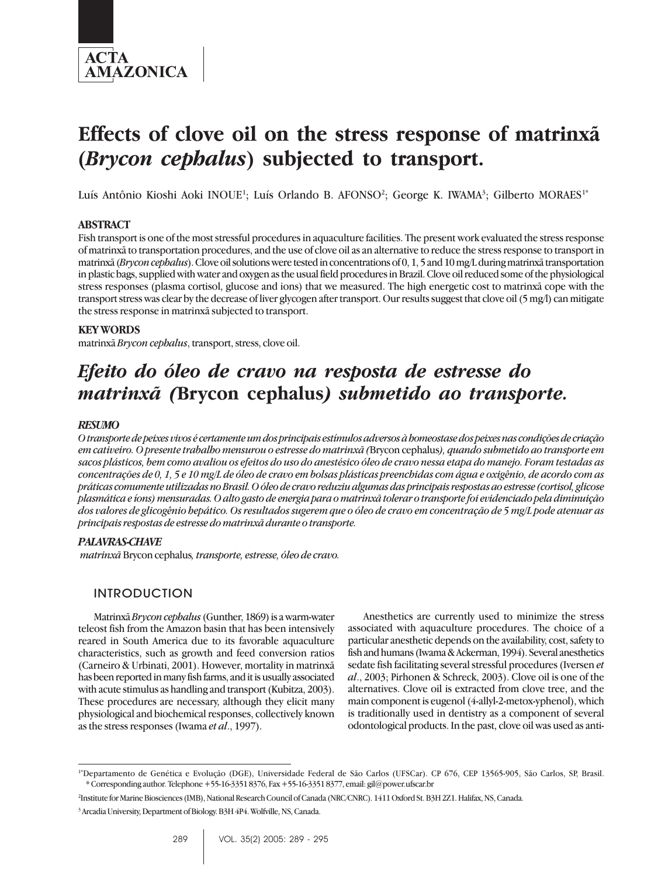

# **Effects of clove oil on the stress response of matrinxã (***Brycon cephalus***) subjected to transport.**

Luís Antônio Kioshi Aoki INOUE<sup>1</sup>; Luís Orlando B. AFONSO<sup>2</sup>; George K. IWAMA<sup>3</sup>; Gilberto MORAES<sup>1</sup>\*

#### **ABSTRACT**

Fish transport is one of the most stressful procedures in aquaculture facilities. The present work evaluated the stress response of matrinxã to transportation procedures, and the use of clove oil as an alternative to reduce the stress response to transport in matrinxã (*Brycon cephalus*). Clove oil solutions were tested in concentrations of 0, 1, 5 and 10 mg/L during matrinxã transportation in plastic bags, supplied with water and oxygen as the usual field procedures in Brazil. Clove oil reduced some of the physiological stress responses (plasma cortisol, glucose and ions) that we measured. The high energetic cost to matrinxã cope with the transport stress was clear by the decrease of liver glycogen after transport. Our results suggest that clove oil (5 mg/l) can mitigate the stress response in matrinxã subjected to transport.

#### **KEY WORDS**

matrinxã *Brycon cephalus*, transport, stress, clove oil.

## *Efeito do óleo de cravo na resposta de estresse do matrinxã (***Brycon cephalus***) submetido ao transporte.*

#### *RESUMO*

*O transporte de peixes vivos é certamente um dos principais estímulos adversos à homeostase dos peixes nas condições de criação em cativeiro. O presente trabalho mensurou o estresse do matrinxã (*Brycon cephalus*), quando submetido ao transporte em sacos plásticos, bem como avaliou os efeitos do uso do anestésico óleo de cravo nessa etapa do manejo. Foram testadas as concentrações de 0, 1, 5 e 10 mg/L de óleo de cravo em bolsas plásticas preenchidas com água e oxigênio, de acordo com as práticas comumente utilizadas no Brasil. O óleo de cravo reduziu algumas das principais respostas ao estresse (cortisol, glicose plasmática e íons) mensuradas. O alto gasto de energia para o matrinxã tolerar o transporte foi evidenciado pela diminuição dos valores de glicogênio hepático. Os resultados sugerem que o óleo de cravo em concentração de 5 mg/L pode atenuar as principais respostas de estresse do matrinxã durante o transporte.*

#### *PALAVRAS-CHAVE*

 *matrinxã* Brycon cephalus*, transporte, estresse, óleo de cravo.*

#### INTRODUCTION

Matrinxã *Brycon cephalus* (Gunther, 1869) is a warm-water teleost fish from the Amazon basin that has been intensively reared in South America due to its favorable aquaculture characteristics, such as growth and feed conversion ratios (Carneiro & Urbinati, 2001). However, mortality in matrinxã has been reported in many fish farms, and it is usually associated with acute stimulus as handling and transport (Kubitza, 2003). These procedures are necessary, although they elicit many physiological and biochemical responses, collectively known as the stress responses (Iwama *et al*., 1997).

Anesthetics are currently used to minimize the stress associated with aquaculture procedures. The choice of a particular anesthetic depends on the availability, cost, safety to fish and humans (Iwama & Ackerman, 1994). Several anesthetics sedate fish facilitating several stressful procedures (Iversen *et al*., 2003; Pirhonen & Schreck, 2003). Clove oil is one of the alternatives. Clove oil is extracted from clove tree, and the main component is eugenol (4-allyl-2-metox-yphenol), which is traditionally used in dentistry as a component of several odontological products. In the past, clove oil was used as anti-

<sup>1\*</sup>Departamento de Genética e Evolução (DGE), Universidade Federal de São Carlos (UFSCar). CP 676, CEP 13565-905, São Carlos, SP, Brasil. \* Corresponding author. Telephone +55-16-3351 8376, Fax +55-16-3351 8377, email: gil@power.ufscar.br

<sup>2</sup> Institute for Marine Biosciences (IMB), National Research Council of Canada (NRC/CNRC). 1411 Oxford St. B3H 2Z1. Halifax, NS, Canada.

<sup>3</sup> Arcadia University, Department of Biology. B3H 4P4. Wolfville, NS, Canada.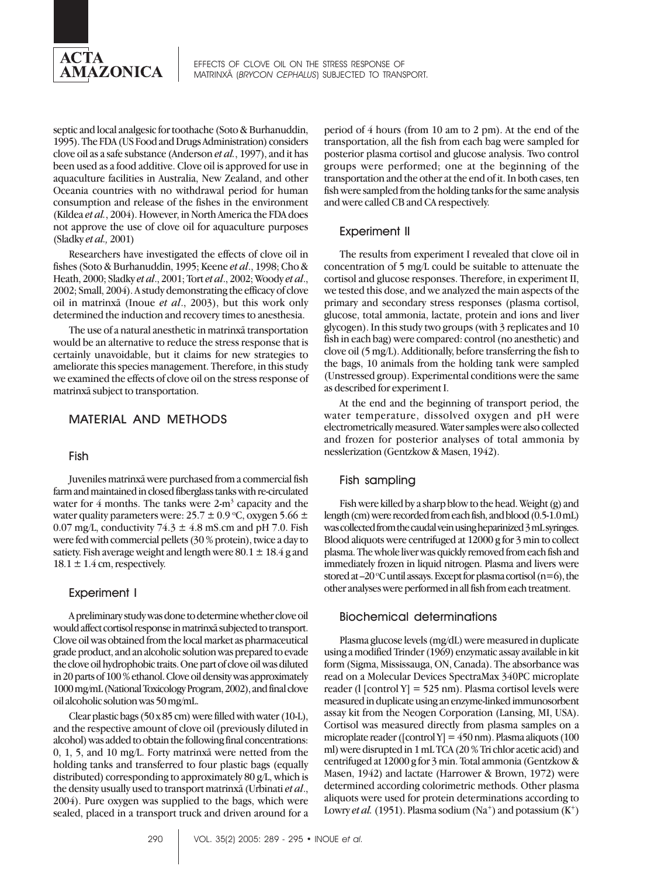

septic and local analgesic for toothache (Soto & Burhanuddin, 1995). The FDA (US Food and Drugs Administration) considers clove oil as a safe substance (Anderson *et al.*, 1997), and it has been used as a food additive. Clove oil is approved for use in aquaculture facilities in Australia, New Zealand, and other Oceania countries with no withdrawal period for human consumption and release of the fishes in the environment (Kildea *et al.*, 2004). However, in North America the FDA does not approve the use of clove oil for aquaculture purposes (Sladky *et al.,* 2001)

Researchers have investigated the effects of clove oil in fishes (Soto & Burhanuddin, 1995; Keene *et al*., 1998; Cho & Heath, 2000; Sladky *et al*., 2001; Tort *et al*., 2002; Woody *et al*., 2002; Small, 2004). A study demonstrating the efficacy of clove oil in matrinxã (Inoue *et al*., 2003), but this work only determined the induction and recovery times to anesthesia.

The use of a natural anesthetic in matrinxã transportation would be an alternative to reduce the stress response that is certainly unavoidable, but it claims for new strategies to ameliorate this species management. Therefore, in this study we examined the effects of clove oil on the stress response of matrinxã subject to transportation.

## MATERIAL AND METHODS

#### Fish

Juveniles matrinxã were purchased from a commercial fish farm and maintained in closed fiberglass tanks with re-circulated water for 4 months. The tanks were  $2\text{-m}^3$  capacity and the water quality parameters were:  $25.7 \pm 0.9$  °C, oxygen  $5.66 \pm$ 0.07 mg/L, conductivity  $74.3 \pm 4.8$  mS.cm and pH 7.0. Fish were fed with commercial pellets (30 % protein), twice a day to satiety. Fish average weight and length were  $80.1 \pm 18.4$  g and  $18.1 \pm 1.4$  cm, respectively.

#### Experiment I

A preliminary study was done to determine whether clove oil would affect cortisol response in matrinxã subjected to transport. Clove oil was obtained from the local market as pharmaceutical grade product, and an alcoholic solution was prepared to evade the clove oil hydrophobic traits. One part of clove oil was diluted in 20 parts of 100 % ethanol. Clove oil density was approximately 1000 mg/mL (National Toxicology Program, 2002), and final clove oil alcoholic solution was 50 mg/mL.

Clear plastic bags  $(50 \times 85 \text{ cm})$  were filled with water  $(10 \text{-L})$ , and the respective amount of clove oil (previously diluted in alcohol) was added to obtain the following final concentrations: 0, 1, 5, and 10 mg/L. Forty matrinxã were netted from the holding tanks and transferred to four plastic bags (equally distributed) corresponding to approximately 80 g/L, which is the density usually used to transport matrinxã (Urbinati *et al*., 2004). Pure oxygen was supplied to the bags, which were sealed, placed in a transport truck and driven around for a

period of 4 hours (from 10 am to 2 pm). At the end of the transportation, all the fish from each bag were sampled for posterior plasma cortisol and glucose analysis. Two control groups were performed; one at the beginning of the transportation and the other at the end of it. In both cases, ten fish were sampled from the holding tanks for the same analysis and were called CB and CA respectively.

#### Experiment II

The results from experiment I revealed that clove oil in concentration of 5 mg/L could be suitable to attenuate the cortisol and glucose responses. Therefore, in experiment II, we tested this dose, and we analyzed the main aspects of the primary and secondary stress responses (plasma cortisol, glucose, total ammonia, lactate, protein and ions and liver glycogen). In this study two groups (with 3 replicates and 10 fish in each bag) were compared: control (no anesthetic) and clove oil (5 mg/L). Additionally, before transferring the fish to the bags, 10 animals from the holding tank were sampled (Unstressed group). Experimental conditions were the same as described for experiment I.

At the end and the beginning of transport period, the water temperature, dissolved oxygen and pH were electrometrically measured. Water samples were also collected and frozen for posterior analyses of total ammonia by nesslerization (Gentzkow & Masen, 1942).

#### Fish sampling

Fish were killed by a sharp blow to the head. Weight (g) and length (cm) were recorded from each fish, and blood (0.5-1.0 mL) was collected from the caudal vein using heparinized 3 mL syringes. Blood aliquots were centrifuged at 12000 g for 3 min to collect plasma. The whole liver was quickly removed from each fish and immediately frozen in liquid nitrogen. Plasma and livers were stored at  $-20$  °C until assays. Except for plasma cortisol (n=6), the other analyses were performed in all fish from each treatment.

#### Biochemical determinations

Plasma glucose levels (mg/dL) were measured in duplicate using a modified Trinder (1969) enzymatic assay available in kit form (Sigma, Mississauga, ON, Canada). The absorbance was read on a Molecular Devices SpectraMax 340PC microplate reader (1 [control Y] = 525 nm). Plasma cortisol levels were measured in duplicate using an enzyme-linked immunosorbent assay kit from the Neogen Corporation (Lansing, MI, USA). Cortisol was measured directly from plasma samples on a microplate reader ([control Y] =  $450$  nm). Plasma aliquots (100 ml) were disrupted in 1 mL TCA (20 % Tri chlor acetic acid) and centrifuged at 12000 g for 3 min. Total ammonia (Gentzkow & Masen, 1942) and lactate (Harrower & Brown, 1972) were determined according colorimetric methods. Other plasma aliquots were used for protein determinations according to Lowry *et al.* (1951). Plasma sodium (Na<sup>+</sup>) and potassium (K<sup>+</sup>)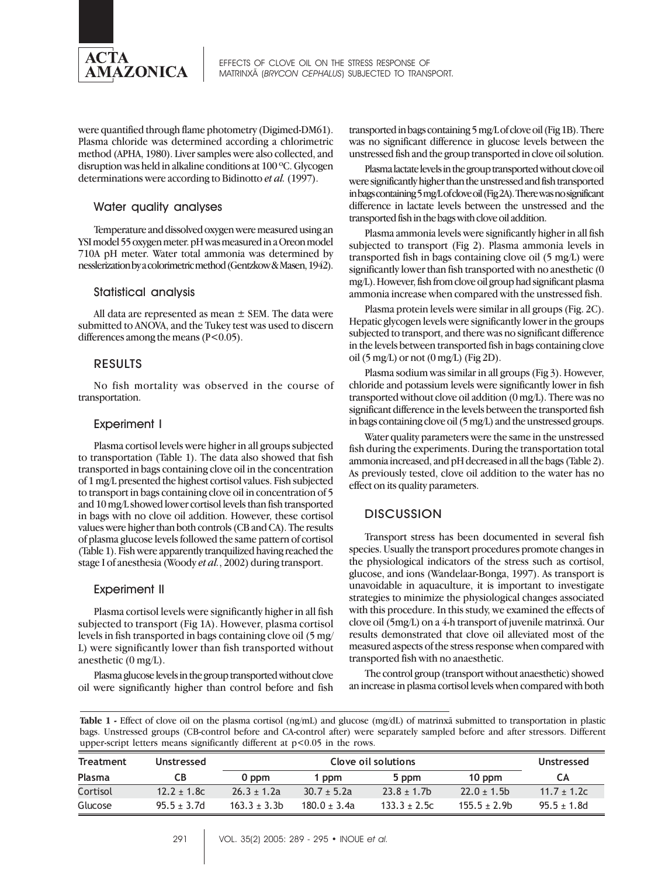

were quantified through flame photometry (Digimed-DM61). Plasma chloride was determined according a chlorimetric method (APHA, 1980). Liver samples were also collected, and disruption was held in alkaline conditions at 100 ºC. Glycogen determinations were according to Bidinotto *et al.* (1997).

## Water quality analyses

Temperature and dissolved oxygen were measured using an YSI model 55 oxygen meter. pH was measured in a Oreon model 710A pH meter. Water total ammonia was determined by nesslerization by a colorimetric method (Gentzkow & Masen, 1942).

#### Statistical analysis

All data are represented as mean  $\pm$  SEM. The data were submitted to ANOVA, and the Tukey test was used to discern differences among the means  $(P<0.05)$ .

## RESULTS

No fish mortality was observed in the course of transportation.

## Experiment I

Plasma cortisol levels were higher in all groups subjected to transportation (Table 1). The data also showed that fish transported in bags containing clove oil in the concentration of 1 mg/L presented the highest cortisol values. Fish subjected to transport in bags containing clove oil in concentration of 5 and 10 mg/L showed lower cortisol levels than fish transported in bags with no clove oil addition. However, these cortisol values were higher than both controls (CB and CA). The results of plasma glucose levels followed the same pattern of cortisol (Table 1). Fish were apparently tranquilized having reached the stage I of anesthesia (Woody *et al.*, 2002) during transport.

#### Experiment II

Plasma cortisol levels were significantly higher in all fish subjected to transport (Fig 1A). However, plasma cortisol levels in fish transported in bags containing clove oil (5 mg/ L) were significantly lower than fish transported without anesthetic (0 mg/L).

Plasma glucose levels in the group transported without clove oil were significantly higher than control before and fish transported in bags containing 5 mg/L of clove oil (Fig 1B). There was no significant difference in glucose levels between the unstressed fish and the group transported in clove oil solution.

Plasma lactate levels in the group transported without clove oil were significantly higher than the unstressed and fish transported in bags containing 5 mg/L of clove oil (Fig 2A). There was no significant difference in lactate levels between the unstressed and the transported fish in the bags with clove oil addition.

Plasma ammonia levels were significantly higher in all fish subjected to transport (Fig 2). Plasma ammonia levels in transported fish in bags containing clove oil (5 mg/L) were significantly lower than fish transported with no anesthetic (0 mg/L). However, fish from clove oil group had significant plasma ammonia increase when compared with the unstressed fish.

Plasma protein levels were similar in all groups (Fig. 2C). Hepatic glycogen levels were significantly lower in the groups subjected to transport, and there was no significant difference in the levels between transported fish in bags containing clove oil  $(5 \text{ mg/L})$  or not  $(0 \text{ mg/L})$  (Fig 2D).

Plasma sodium was similar in all groups (Fig 3). However, chloride and potassium levels were significantly lower in fish transported without clove oil addition (0 mg/L). There was no significant difference in the levels between the transported fish in bags containing clove oil (5 mg/L) and the unstressed groups.

Water quality parameters were the same in the unstressed fish during the experiments. During the transportation total ammonia increased, and pH decreased in all the bags (Table 2). As previously tested, clove oil addition to the water has no effect on its quality parameters.

## **DISCUSSION**

Transport stress has been documented in several fish species. Usually the transport procedures promote changes in the physiological indicators of the stress such as cortisol, glucose, and ions (Wandelaar-Bonga, 1997). As transport is unavoidable in aquaculture, it is important to investigate strategies to minimize the physiological changes associated with this procedure. In this study, we examined the effects of clove oil (5mg/L) on a 4-h transport of juvenile matrinxã. Our results demonstrated that clove oil alleviated most of the measured aspects of the stress response when compared with transported fish with no anaesthetic.

The control group (transport without anaesthetic) showed an increase in plasma cortisol levels when compared with both

**Table 1 -** Effect of clove oil on the plasma cortisol (ng/mL) and glucose (mg/dL) of matrinxã submitted to transportation in plastic bags. Unstressed groups (CB-control before and CA-control after) were separately sampled before and after stressors. Different upper-script letters means significantly different at  $p<0.05$  in the rows.

| <b>Treatment</b> | Unstressed    |                 | Unstressed     |                |                |                 |
|------------------|---------------|-----------------|----------------|----------------|----------------|-----------------|
| Plasma           | <b>CB</b>     | 0 ppm           | ppm            | 5 ppm          | $10$ ppm       | <b>CA</b>       |
| Cortisol         | $12.2 + 1.8c$ | $26.3 \pm 1.2a$ | $30.7 + 5.2a$  | $23.8 + 1.7$ h | $22.0 + 1.5$ h | $11.7 \pm 1.2c$ |
| Glucose          | $95.5 + 3.7d$ | $163.3 + 3.3h$  | $180.0 + 3.4a$ | $133.3 + 2.5c$ | $155.5 + 2.9b$ | $95.5 + 1.8$ d  |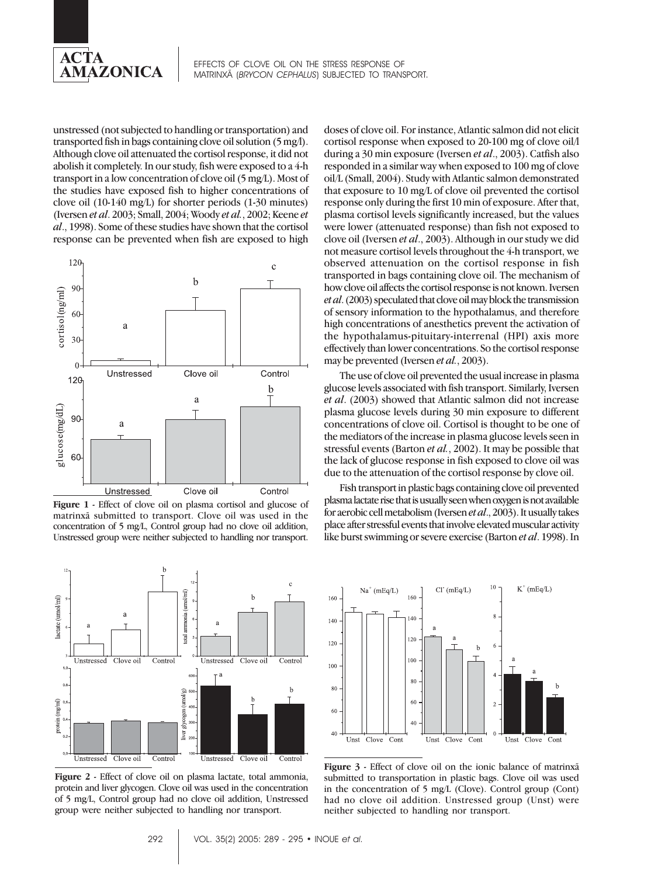

unstressed (not subjected to handling or transportation) and transported fish in bags containing clove oil solution (5 mg/l). Although clove oil attenuated the cortisol response, it did not abolish it completely. In our study, fish were exposed to a 4-h transport in a low concentration of clove oil (5 mg/L). Most of the studies have exposed fish to higher concentrations of clove oil (10-140 mg/L) for shorter periods (1-30 minutes) (Iversen *et al*. 2003; Small, 2004; Woody *et al.*, 2002; Keene *et al*., 1998). Some of these studies have shown that the cortisol response can be prevented when fish are exposed to high



**Figure 1** - Effect of clove oil on plasma cortisol and glucose of matrinxã submitted to transport. Clove oil was used in the concentration of 5 mg/L, Control group had no clove oil addition, Unstressed group were neither subjected to handling nor transport.



**Figure 2** - Effect of clove oil on plasma lactate, total ammonia, protein and liver glycogen. Clove oil was used in the concentration of 5 mg/L, Control group had no clove oil addition, Unstressed group were neither subjected to handling nor transport.

doses of clove oil. For instance, Atlantic salmon did not elicit cortisol response when exposed to 20-100 mg of clove oil/l during a 30 min exposure (Iversen *et al*., 2003). Catfish also responded in a similar way when exposed to 100 mg of clove oil/L (Small, 2004). Study with Atlantic salmon demonstrated that exposure to 10 mg/L of clove oil prevented the cortisol response only during the first 10 min of exposure. After that, plasma cortisol levels significantly increased, but the values were lower (attenuated response) than fish not exposed to clove oil (Iversen *et al*., 2003). Although in our study we did not measure cortisol levels throughout the 4-h transport, we observed attenuation on the cortisol response in fish transported in bags containing clove oil. The mechanism of how clove oil affects the cortisol response is not known. Iversen *et al*. (2003) speculated that clove oil may block the transmission of sensory information to the hypothalamus, and therefore high concentrations of anesthetics prevent the activation of the hypothalamus-pituitary-interrenal (HPI) axis more effectively than lower concentrations. So the cortisol response may be prevented (Iversen *et al.*, 2003).

The use of clove oil prevented the usual increase in plasma glucose levels associated with fish transport. Similarly, Iversen *et al*. (2003) showed that Atlantic salmon did not increase plasma glucose levels during 30 min exposure to different concentrations of clove oil. Cortisol is thought to be one of the mediators of the increase in plasma glucose levels seen in stressful events (Barton *et al.*, 2002). It may be possible that the lack of glucose response in fish exposed to clove oil was due to the attenuation of the cortisol response by clove oil.

Fish transport in plastic bags containing clove oil prevented plasma lactate rise that is usually seen when oxygen is not available for aerobic cell metabolism (Iversen *et al*., 2003). It usually takes place after stressful events that involve elevated muscular activity like burst swimming or severe exercise (Barton *et al*. 1998). In



**Figure 3** - Effect of clove oil on the ionic balance of matrinxã submitted to transportation in plastic bags. Clove oil was used in the concentration of 5 mg/L (Clove). Control group (Cont) had no clove oil addition. Unstressed group (Unst) were neither subjected to handling nor transport.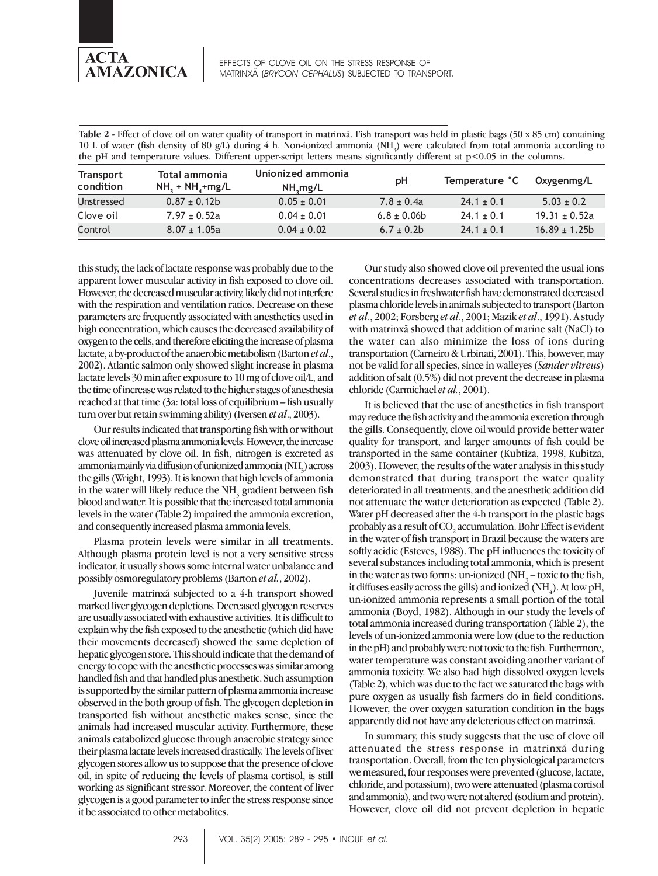

**Table 2 -** Effect of clove oil on water quality of transport in matrinxã. Fish transport was held in plastic bags (50 x 85 cm) containing 10 L of water (fish density of 80 g/L) during 4 h. Non-ionized ammonia (NH<sub>3</sub>) were calculated from total ammonia according to the pH and temperature values. Different upper-script letters means significantly different at  $p<0.05$  in the columns.

| <b>Transport</b><br>condition | Total ammonia<br>$NH3 + NH4 + mg/L$ | Unionized ammonia<br>NH, mg/L | рH              | Temperature °C | Oxygenmg/L        |
|-------------------------------|-------------------------------------|-------------------------------|-----------------|----------------|-------------------|
| Unstressed                    | $0.87 \pm 0.12b$                    | $0.05 \pm 0.01$               | $7.8 \pm 0.4a$  | $24.1 \pm 0.1$ | $5.03 \pm 0.2$    |
| Clove oil                     | $7.97 \pm 0.52a$                    | $0.04 \pm 0.01$               | $6.8 \pm 0.06$  | $24.1 \pm 0.1$ | $19.31 \pm 0.52a$ |
| Control                       | $8.07 \pm 1.05a$                    | $0.04 \pm 0.02$               | $6.7 \pm 0.2$ b | $24.1 \pm 0.1$ | $16.89 \pm 1.25b$ |

this study, the lack of lactate response was probably due to the apparent lower muscular activity in fish exposed to clove oil. However, the decreased muscular activity, likely did not interfere with the respiration and ventilation ratios. Decrease on these parameters are frequently associated with anesthetics used in high concentration, which causes the decreased availability of oxygen to the cells, and therefore eliciting the increase of plasma lactate, a by-product of the anaerobic metabolism (Barton *et al*., 2002). Atlantic salmon only showed slight increase in plasma lactate levels 30 min after exposure to 10 mg of clove oil/L, and the time of increase was related to the higher stages of anesthesia reached at that time (3a: total loss of equilibrium – fish usually turn over but retain swimming ability) (Iversen *et al*., 2003).

Our results indicated that transporting fish with or without clove oil increased plasma ammonia levels. However, the increase was attenuated by clove oil. In fish, nitrogen is excreted as ammonia mainly via diffusion of unionized ammonia (NH $_3$ ) across the gills (Wright, 1993). It is known that high levels of ammonia in the water will likely reduce the NH $_{\rm_{3}}$  gradient between fish blood and water. It is possible that the increased total ammonia levels in the water (Table 2) impaired the ammonia excretion, and consequently increased plasma ammonia levels.

Plasma protein levels were similar in all treatments. Although plasma protein level is not a very sensitive stress indicator, it usually shows some internal water unbalance and possibly osmoregulatory problems (Barton *et al.*, 2002).

Juvenile matrinxã subjected to a 4-h transport showed marked liver glycogen depletions. Decreased glycogen reserves are usually associated with exhaustive activities. It is difficult to explain why the fish exposed to the anesthetic (which did have their movements decreased) showed the same depletion of hepatic glycogen store. This should indicate that the demand of energy to cope with the anesthetic processes was similar among handled fish and that handled plus anesthetic. Such assumption is supported by the similar pattern of plasma ammonia increase observed in the both group of fish. The glycogen depletion in transported fish without anesthetic makes sense, since the animals had increased muscular activity. Furthermore, these animals catabolized glucose through anaerobic strategy since their plasma lactate levels increased drastically. The levels of liver glycogen stores allow us to suppose that the presence of clove oil, in spite of reducing the levels of plasma cortisol, is still working as significant stressor. Moreover, the content of liver glycogen is a good parameter to infer the stress response since it be associated to other metabolites.

Our study also showed clove oil prevented the usual ions concentrations decreases associated with transportation. Several studies in freshwater fish have demonstrated decreased plasma chloride levels in animals subjected to transport (Barton *et al*., 2002; Forsberg *et al*., 2001; Mazik *et al*., 1991). A study with matrinxã showed that addition of marine salt (NaCl) to the water can also minimize the loss of ions during transportation (Carneiro & Urbinati, 2001). This, however, may not be valid for all species, since in walleyes (*Sander vitreus*) addition of salt (0.5%) did not prevent the decrease in plasma chloride (Carmichael *et al.*, 2001).

It is believed that the use of anesthetics in fish transport may reduce the fish activity and the ammonia excretion through the gills. Consequently, clove oil would provide better water quality for transport, and larger amounts of fish could be transported in the same container (Kubtiza, 1998, Kubitza, 2003). However, the results of the water analysis in this study demonstrated that during transport the water quality deteriorated in all treatments, and the anesthetic addition did not attenuate the water deterioration as expected (Table 2). Water pH decreased after the 4-h transport in the plastic bags probably as a result of CO<sub>2</sub> accumulation. Bohr Effect is evident in the water of fish transport in Brazil because the waters are softly acidic (Esteves, 1988). The pH influences the toxicity of several substances including total ammonia, which is present in the water as two forms: un-ionized (NH $_{\rm 3}$  – toxic to the fish, it diffuses easily across the gills) and ionized (NH<sub>4</sub>). At low pH, un-ionized ammonia represents a small portion of the total ammonia (Boyd, 1982). Although in our study the levels of total ammonia increased during transportation (Table 2), the levels of un-ionized ammonia were low (due to the reduction in the pH) and probably were not toxic to the fish. Furthermore, water temperature was constant avoiding another variant of ammonia toxicity. We also had high dissolved oxygen levels (Table 2), which was due to the fact we saturated the bags with pure oxygen as usually fish farmers do in field conditions. However, the over oxygen saturation condition in the bags apparently did not have any deleterious effect on matrinxã.

In summary, this study suggests that the use of clove oil attenuated the stress response in matrinxã during transportation. Overall, from the ten physiological parameters we measured, four responses were prevented (glucose, lactate, chloride, and potassium), two were attenuated (plasma cortisol and ammonia), and two were not altered (sodium and protein). However, clove oil did not prevent depletion in hepatic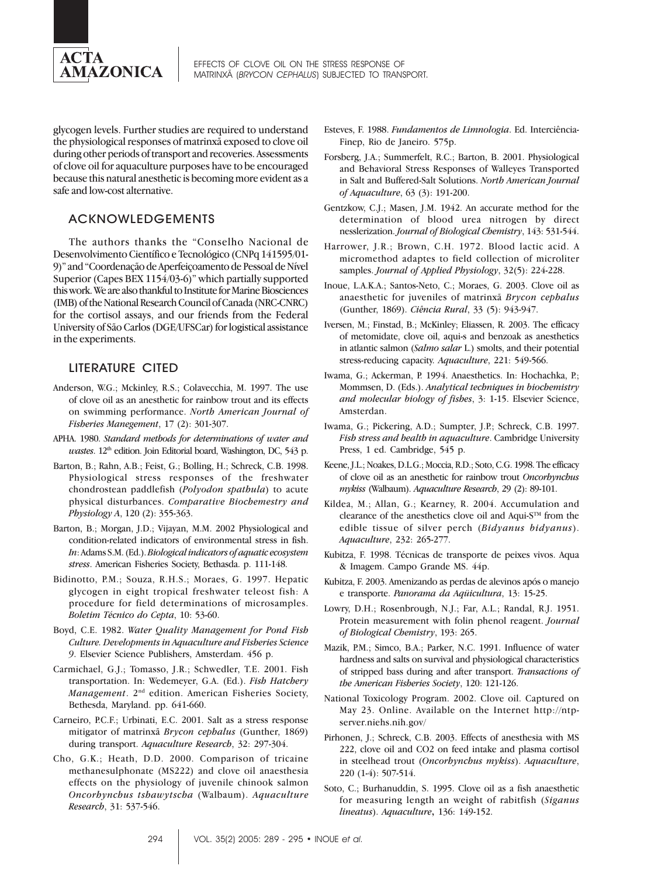

glycogen levels. Further studies are required to understand the physiological responses of matrinxã exposed to clove oil during other periods of transport and recoveries. Assessments of clove oil for aquaculture purposes have to be encouraged because this natural anesthetic is becoming more evident as a safe and low-cost alternative.

## ACKNOWLEDGEMENTS

The authors thanks the "Conselho Nacional de Desenvolvimento Científico e Tecnológico (CNPq 141595/01- 9)" and "Coordenação de Aperfeiçoamento de Pessoal de Nível Superior (Capes BEX 1154/03-6)" which partially supported this work. We are also thankful to Institute for Marine Biosciences (IMB) of the National Research Council of Canada (NRC-CNRC) for the cortisol assays, and our friends from the Federal University of São Carlos (DGE/UFSCar) for logistical assistance in the experiments.

## LITERATURE CITED

- Anderson, W.G.; Mckinley, R.S.; Colavecchia, M. 1997. The use of clove oil as an anesthetic for rainbow trout and its effects on swimming performance. *North American Journal of Fisheries Manegement*, 17 (2): 301-307.
- APHA. 1980. *Standard methods for determinations of water and wastes*. 12<sup>th</sup> edition. Join Editorial board, Washington, DC, 543 p.
- Barton, B.; Rahn, A.B.; Feist, G.; Bolling, H.; Schreck, C.B. 1998. Physiological stress responses of the freshwater chondrostean paddlefish (*Polyodon spathula*) to acute physical disturbances. *Comparative Biochemestry and Physiology A*, 120 (2): 355-363.
- Barton, B.; Morgan, J.D.; Vijayan, M.M. 2002 Physiological and condition-related indicators of environmental stress in fish. *In*: Adams S.M. (Ed.). *Biological indicators of aquatic ecosystem stress*. American Fisheries Society, Bethasda. p. 111-148.
- Bidinotto, P.M.; Souza, R.H.S.; Moraes, G. 1997. Hepatic glycogen in eight tropical freshwater teleost fish: A procedure for field determinations of microsamples. *Boletim Técnico do Cepta*, 10: 53-60.
- Boyd, C.E. 1982. *Water Quality Management for Pond Fish Culture. Developments in Aquaculture and Fisheries Science 9*. Elsevier Science Publishers, Amsterdam. 456 p.
- Carmichael, G.J.; Tomasso, J.R.; Schwedler, T.E. 2001. Fish transportation. In: Wedemeyer, G.A. (Ed.). *Fish Hatchery Management*. 2nd edition. American Fisheries Society, Bethesda, Maryland. pp. 641-660.
- Carneiro, P.C.F.; Urbinati, E.C. 2001. Salt as a stress response mitigator of matrinxã *Brycon cephalus* (Gunther, 1869) during transport. *Aquaculture Research*, 32: 297-304.
- Cho, G.K.; Heath, D.D. 2000. Comparison of tricaine methanesulphonate (MS222) and clove oil anaesthesia effects on the physiology of juvenile chinook salmon *Oncorhynchus tshawytscha* (Walbaum). *Aquaculture Research*, 31: 537-546.
- Esteves, F. 1988. *Fundamentos de Limnologia*. Ed. Interciência-Finep, Rio de Janeiro. 575p.
- Forsberg, J.A.; Summerfelt, R.C.; Barton, B. 2001. Physiological and Behavioral Stress Responses of Walleyes Transported in Salt and Buffered-Salt Solutions. *North American Journal of Aquaculture*, 63 (3): 191-200.
- Gentzkow, C.J.; Masen, J.M. 1942. An accurate method for the determination of blood urea nitrogen by direct nesslerization. *Journal of Biological Chemistry*, 143: 531-544.
- Harrower, J.R.; Brown, C.H. 1972. Blood lactic acid. A micromethod adaptes to field collection of microliter samples. *Journal of Applied Physiology*, 32(5): 224-228.
- Inoue, L.A.K.A.; Santos-Neto, C.; Moraes, G. 2003. Clove oil as anaesthetic for juveniles of matrinxã *Brycon cephalus* (Gunther, 1869). *Ciência Rural*, 33 (5): 943-947.
- Iversen, M.; Finstad, B.; McKinley; Eliassen, R. 2003. The efficacy of metomidate, clove oil, aqui-s and benzoak as anesthetics in atlantic salmon (*Salmo salar* L.) smolts, and their potential stress-reducing capacity. *Aquaculture*, 221: 549-566.
- Iwama, G.; Ackerman, P. 1994. Anaesthetics. In: Hochachka, P.; Mommsen, D. (Eds.). *Analytical techniques in biochemistry and molecular biology of fishes*, 3: 1-15. Elsevier Science, Amsterdan.
- Iwama, G.; Pickering, A.D.; Sumpter, J.P.; Schreck, C.B. 1997. *Fish stress and health in aquaculture*. Cambridge University Press, 1 ed. Cambridge, 545 p.
- Keene, J.L.; Noakes, D.L.G.; Moccia, R.D.; Soto, C.G. 1998. The efficacy of clove oil as an anesthetic for rainbow trout *Oncorhynchus mykiss* (Walbaum). *Aquaculture Research*, 29 (2): 89-101.
- Kildea, M.; Allan, G.; Kearney, R. 2004. Accumulation and clearance of the anesthetics clove oil and Aqui-S™ from the edible tissue of silver perch (*Bidyanus bidyanus*). *Aquaculture*, 232: 265-277.
- Kubitza, F. 1998. Técnicas de transporte de peixes vivos. Aqua & Imagem. Campo Grande MS. 44p.
- Kubitza, F. 2003. Amenizando as perdas de alevinos após o manejo e transporte. *Panorama da Aqüicultura*, 13: 15-25.
- Lowry, D.H.; Rosenbrough, N.J.; Far, A.L.; Randal, R.J. 1951. Protein measurement with folin phenol reagent. *Journal of Biological Chemistry*, 193: 265.
- Mazik, P.M.; Simco, B.A.; Parker, N.C. 1991. Influence of water hardness and salts on survival and physiological characteristics of stripped bass during and after transport. *Transactions of the American Fisheries Society*, 120: 121-126.
- National Toxicology Program. 2002. Clove oil. Captured on May 23. Online. Available on the Internet http://ntpserver.niehs.nih.gov/
- Pirhonen, J.; Schreck, C.B. 2003. Effects of anesthesia with MS 222, clove oil and CO2 on feed intake and plasma cortisol in steelhead trout (*Oncorhynchus mykiss*). *Aquaculture*, 220 (1-4): 507-514.
- Soto, C.; Burhanuddin, S. 1995. Clove oil as a fish anaesthetic for measuring length an weight of rabitfish (*Siganus lineatus*). *Aquaculture***,** 136: 149-152.